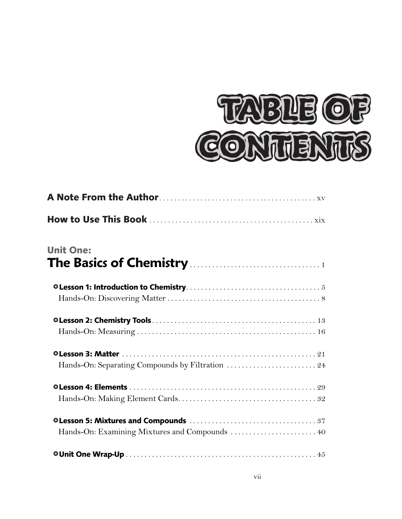

| <b>Unit One:</b>                                 |
|--------------------------------------------------|
|                                                  |
|                                                  |
|                                                  |
|                                                  |
|                                                  |
|                                                  |
| Hands-On: Separating Compounds by Filtration  24 |
|                                                  |
|                                                  |
|                                                  |
| Hands-On: Examining Mixtures and Compounds  40   |
|                                                  |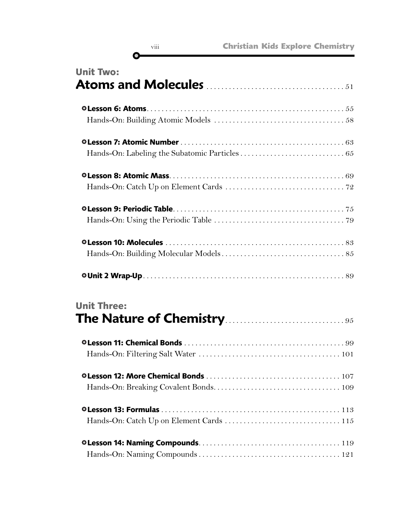| <b>Unit Two:</b>   |  |
|--------------------|--|
|                    |  |
|                    |  |
|                    |  |
|                    |  |
|                    |  |
|                    |  |
|                    |  |
|                    |  |
|                    |  |
|                    |  |
|                    |  |
|                    |  |
| <b>Unit Three:</b> |  |
|                    |  |
|                    |  |
|                    |  |
|                    |  |
|                    |  |
|                    |  |
|                    |  |

O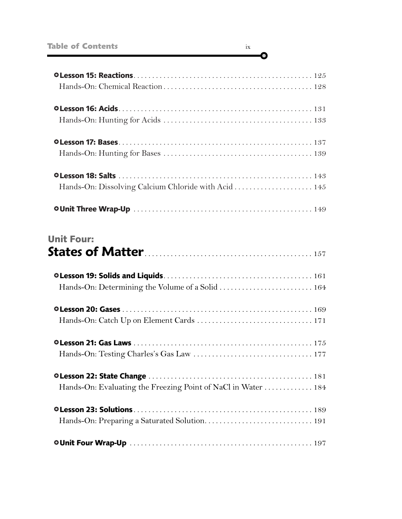## Table of Contents ix

| Hands-On: Dissolving Calcium Chloride with Acid  145          |  |
|---------------------------------------------------------------|--|
|                                                               |  |
| <b>Unit Four:</b>                                             |  |
|                                                               |  |
|                                                               |  |
| Hands-On: Determining the Volume of a Solid  164              |  |
|                                                               |  |
|                                                               |  |
|                                                               |  |
|                                                               |  |
|                                                               |  |
| Hands-On: Evaluating the Freezing Point of NaCl in Water  184 |  |
|                                                               |  |
|                                                               |  |
|                                                               |  |

 $\bullet$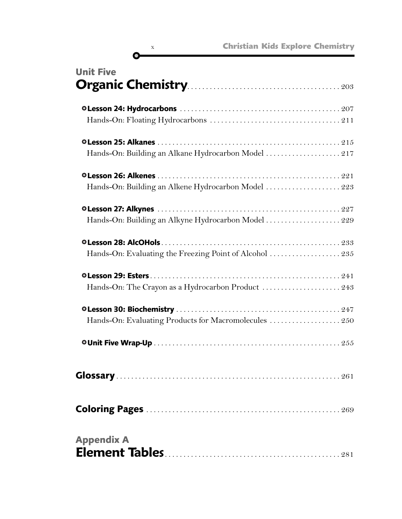| <b>Unit Five</b>                                        |
|---------------------------------------------------------|
|                                                         |
|                                                         |
|                                                         |
| Hands-On: Building an Alkane Hydrocarbon Model 217      |
|                                                         |
| Hands-On: Building an Alkene Hydrocarbon Model  223     |
|                                                         |
| Hands-On: Building an Alkyne Hydrocarbon Model  229     |
|                                                         |
| Hands-On: Evaluating the Freezing Point of Alcohol  235 |
|                                                         |
| Hands-On: The Crayon as a Hydrocarbon Product  243      |
|                                                         |
| Hands-On: Evaluating Products for Macromolecules  250   |
|                                                         |
|                                                         |
|                                                         |
| <b>Appendix A</b>                                       |

 $\bullet$